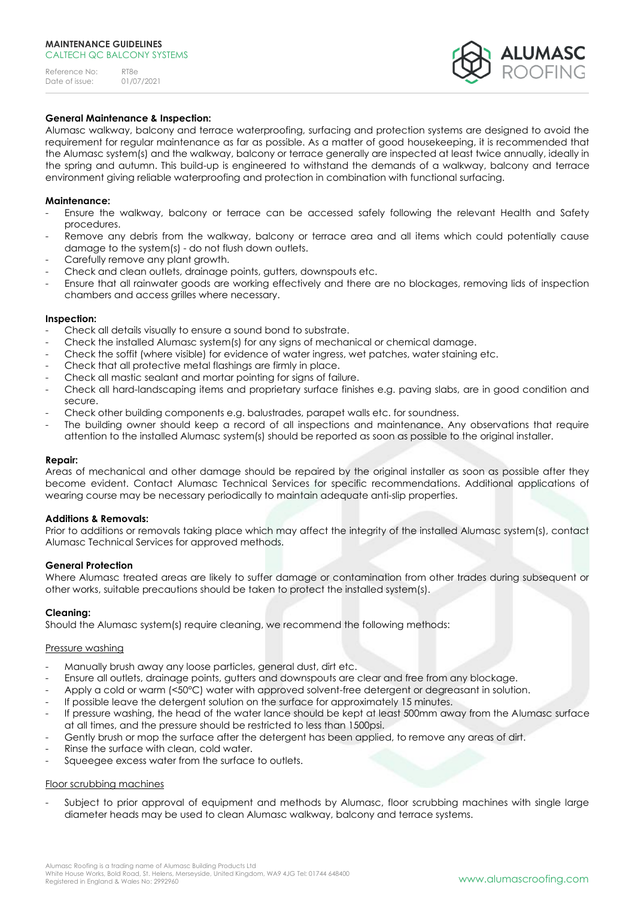Reference No: RT8e<br>Date of issue: 01/07/2021 Date of issue:



# **General Maintenance & Inspection:**

Alumasc walkway, balcony and terrace waterproofing, surfacing and protection systems are designed to avoid the requirement for regular maintenance as far as possible. As a matter of good housekeeping, it is recommended that the Alumasc system(s) and the walkway, balcony or terrace generally are inspected at least twice annually, ideally in the spring and autumn. This build-up is engineered to withstand the demands of a walkway, balcony and terrace environment giving reliable waterproofing and protection in combination with functional surfacing.

## **Maintenance:**

- Ensure the walkway, balcony or terrace can be accessed safely following the relevant Health and Safety procedures.
- Remove any debris from the walkway, balcony or terrace area and all items which could potentially cause damage to the system(s) - do not flush down outlets.
- Carefully remove any plant growth.
- Check and clean outlets, drainage points, gutters, downspouts etc.
- Ensure that all rainwater goods are working effectively and there are no blockages, removing lids of inspection chambers and access grilles where necessary.

#### **Inspection:**

- Check all details visually to ensure a sound bond to substrate.
- Check the installed Alumasc system(s) for any signs of mechanical or chemical damage.
- Check the soffit (where visible) for evidence of water ingress, wet patches, water staining etc.
- Check that all protective metal flashings are firmly in place.
- Check all mastic sealant and mortar pointing for signs of failure.
- Check all hard-landscaping items and proprietary surface finishes e.g. paving slabs, are in good condition and secure.
- Check other building components e.g. balustrades, parapet walls etc. for soundness.
- The building owner should keep a record of all inspections and maintenance. Any observations that require attention to the installed Alumasc system(s) should be reported as soon as possible to the original installer.

### **Repair:**

Areas of mechanical and other damage should be repaired by the original installer as soon as possible after they become evident. Contact Alumasc Technical Services for specific recommendations. Additional applications of wearing course may be necessary periodically to maintain adequate anti-slip properties.

#### **Additions & Removals:**

Prior to additions or removals taking place which may affect the integrity of the installed Alumasc system(s), contact Alumasc Technical Services for approved methods.

#### **General Protection**

Where Alumasc treated areas are likely to suffer damage or contamination from other trades during subsequent or other works, suitable precautions should be taken to protect the installed system(s).

#### **Cleaning:**

Should the Alumasc system(s) require cleaning, we recommend the following methods:

#### Pressure washing

- Manually brush away any loose particles, general dust, dirt etc.
- Ensure all outlets, drainage points, gutters and downspouts are clear and free from any blockage.
- Apply a cold or warm (<50°C) water with approved solvent-free detergent or degreasant in solution.
- If possible leave the detergent solution on the surface for approximately 15 minutes.
- If pressure washing, the head of the water lance should be kept at least 500mm away from the Alumasc surface at all times, and the pressure should be restricted to less than 1500psi.
- Gently brush or mop the surface after the detergent has been applied, to remove any areas of dirt.
- Rinse the surface with clean, cold water.
- Squeegee excess water from the surface to outlets.

#### Floor scrubbing machines

Subject to prior approval of equipment and methods by Alumasc, floor scrubbing machines with single large diameter heads may be used to clean Alumasc walkway, balcony and terrace systems.